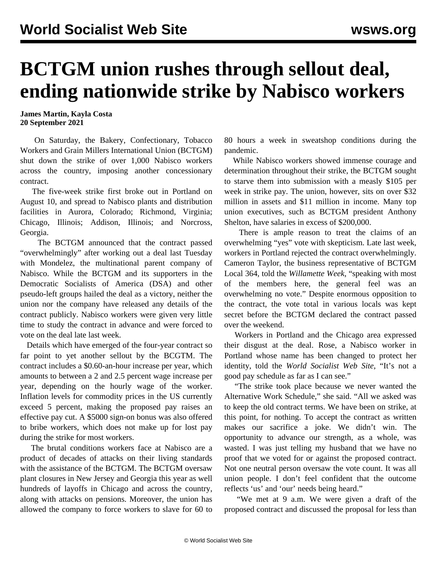## **BCTGM union rushes through sellout deal, ending nationwide strike by Nabisco workers**

**James Martin, Kayla Costa 20 September 2021**

 On Saturday, the Bakery, Confectionary, Tobacco Workers and Grain Millers International Union (BCTGM) shut down the strike of over 1,000 Nabisco workers across the country, imposing another concessionary contract.

 The five-week strike first broke out in Portland on August 10, and spread to Nabisco plants and distribution facilities in Aurora, Colorado; Richmond, Virginia; Chicago, Illinois; Addison, Illinois; and Norcross, Georgia.

 The BCTGM announced that the contract passed "overwhelmingly" after working out a [deal](/en/articles/2021/09/17/nabi-s17.html) last Tuesday with Mondelez, the multinational parent company of Nabisco. While the BCTGM and its supporters in the Democratic Socialists of America (DSA) and other pseudo-left groups hailed the deal as a victory, neither the union nor the company have released any details of the contract publicly. Nabisco workers were given very little time to study the contract in advance and were forced to vote on the deal late last week.

 Details which have emerged of the four-year contract so far point to yet another sellout by the BCGTM. The contract includes a \$0.60-an-hour increase per year, which amounts to between a 2 and 2.5 percent wage increase per year, depending on the hourly wage of the worker. Inflation levels for commodity prices in the US currently exceed 5 percent, making the proposed pay raises an effective pay cut. A \$5000 sign-on bonus was also offered to bribe workers, which does not make up for lost pay during the strike for most workers.

 The brutal conditions workers face at Nabisco are a product of decades of attacks on their living standards with the assistance of the BCTGM. The BCTGM oversaw plant closures in New Jersey and Georgia this year as well hundreds of layoffs in Chicago and across the country, along with attacks on pensions. Moreover, the union has allowed the company to force workers to slave for 60 to

80 hours a week in sweatshop conditions during the pandemic.

 While Nabisco workers showed immense courage and determination throughout their strike, the BCTGM sought to starve them into submission with a measly \$105 per week in strike pay. The union, however, sits on over \$32 million in assets and \$11 million in income. Many top union executives, such as BCTGM president Anthony Shelton, have salaries in excess of \$200,000.

 There is ample reason to treat the claims of an overwhelming "yes" vote with skepticism. Late last week, workers in Portland rejected the contract overwhelmingly. Cameron Taylor, the business representative of BCTGM Local 364, told the *Willamette Week*, "speaking with most of the members here, the general feel was an overwhelming no vote." Despite enormous opposition to the contract, the vote total in various locals was kept secret before the BCTGM declared the contract passed over the weekend.

 Workers in Portland and the Chicago area expressed their disgust at the deal. Rose, a Nabisco worker in Portland whose name has been changed to protect her identity, told the *World Socialist Web Site*, "It's not a good pay schedule as far as I can see."

 "The strike took place because we never wanted the Alternative Work Schedule," she said. "All we asked was to keep the old contract terms. We have been on strike, at this point, for nothing. To accept the contract as written makes our sacrifice a joke. We didn't win. The opportunity to advance our strength, as a whole, was wasted. I was just telling my husband that we have no proof that we voted for or against the proposed contract. Not one neutral person oversaw the vote count. It was all union people. I don't feel confident that the outcome reflects 'us' and 'our' needs being heard."

 "We met at 9 a.m. We were given a draft of the proposed contract and discussed the proposal for less than